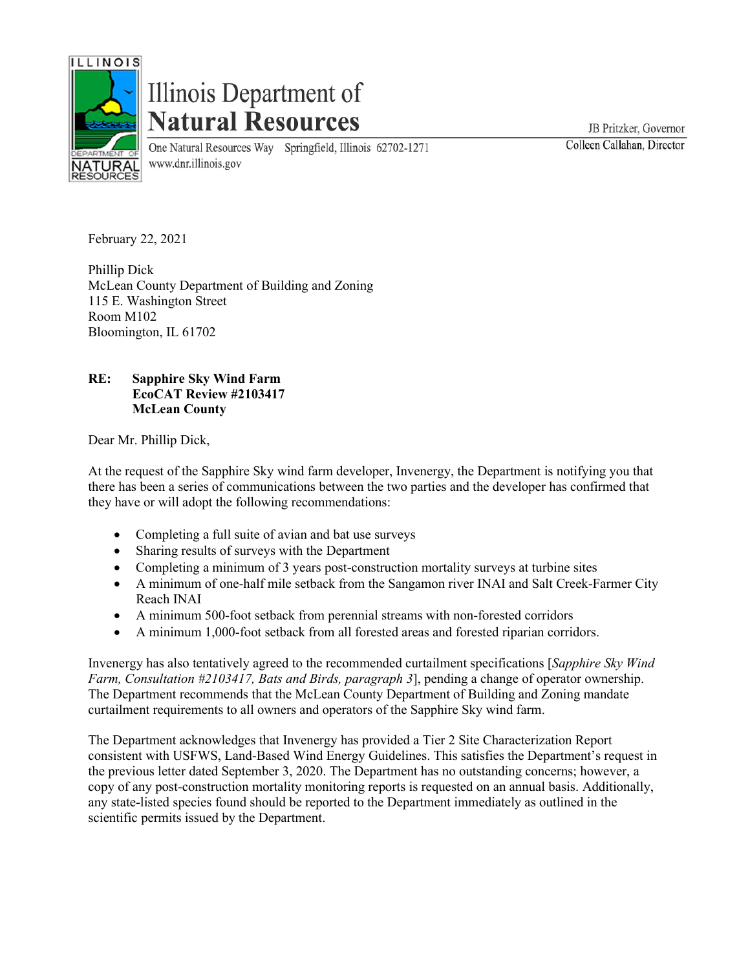

## Illinois Department of **Natural Resources**

One Natural Resources Way Springfield, Illinois 62702-1271 www.dnr.illinois.gov

JB Pritzker, Governor Colleen Callahan, Director

February 22, 2021

Phillip Dick McLean County Department of Building and Zoning 115 E. Washington Street Room M102 Bloomington, IL 61702

## **RE: Sapphire Sky Wind Farm EcoCAT Review #2103417 McLean County**

Dear Mr. Phillip Dick,

At the request of the Sapphire Sky wind farm developer, Invenergy, the Department is notifying you that there has been a series of communications between the two parties and the developer has confirmed that they have or will adopt the following recommendations:

- Completing a full suite of avian and bat use surveys
- Sharing results of surveys with the Department
- Completing a minimum of 3 years post-construction mortality surveys at turbine sites
- A minimum of one-half mile setback from the Sangamon river INAI and Salt Creek-Farmer City Reach INAI
- A minimum 500-foot setback from perennial streams with non-forested corridors
- A minimum 1,000-foot setback from all forested areas and forested riparian corridors.

Invenergy has also tentatively agreed to the recommended curtailment specifications [*Sapphire Sky Wind Farm, Consultation #2103417, Bats and Birds, paragraph 3*], pending a change of operator ownership. The Department recommends that the McLean County Department of Building and Zoning mandate curtailment requirements to all owners and operators of the Sapphire Sky wind farm.

The Department acknowledges that Invenergy has provided a Tier 2 Site Characterization Report consistent with USFWS, Land-Based Wind Energy Guidelines. This satisfies the Department's request in the previous letter dated September 3, 2020. The Department has no outstanding concerns; however, a copy of any post-construction mortality monitoring reports is requested on an annual basis. Additionally, any state-listed species found should be reported to the Department immediately as outlined in the scientific permits issued by the Department.